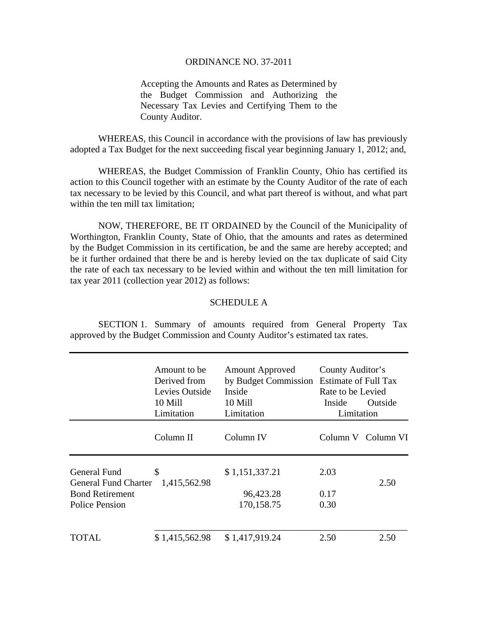## ORDINANCE NO. 37-2011

Accepting the Amounts and Rates as Determined by the Budget Commission and Authorizing the Necessary Tax Levies and Certifying Them to the County Auditor.

 WHEREAS, this Council in accordance with the provisions of law has previously adopted a Tax Budget for the next succeeding fiscal year beginning January 1, 2012; and,

 WHEREAS, the Budget Commission of Franklin County, Ohio has certified its action to this Council together with an estimate by the County Auditor of the rate of each tax necessary to be levied by this Council, and what part thereof is without, and what part within the ten mill tax limitation:

 NOW, THEREFORE, BE IT ORDAINED by the Council of the Municipality of Worthington, Franklin County, State of Ohio, that the amounts and rates as determined by the Budget Commission in its certification, be and the same are hereby accepted; and be it further ordained that there be and is hereby levied on the tax duplicate of said City the rate of each tax necessary to be levied within and without the ten mill limitation for tax year 2011 (collection year 2012) as follows:

## SCHEDULE A

 SECTION 1. Summary of amounts required from General Property Tax approved by the Budget Commission and County Auditor's estimated tax rates.

|                                             | Amount to be<br>Derived from<br>Levies Outside<br>10 Mill<br>Limitation | <b>Amount Approved</b><br>by Budget Commission Estimate of Full Tax<br>Inside<br>10 Mill<br>Limitation | County Auditor's<br>Rate to be Levied<br>Outside<br>Inside<br>Limitation |                    |
|---------------------------------------------|-------------------------------------------------------------------------|--------------------------------------------------------------------------------------------------------|--------------------------------------------------------------------------|--------------------|
|                                             | Column II                                                               | Column IV                                                                                              |                                                                          | Column V Column VI |
| General Fund<br><b>General Fund Charter</b> | \$<br>1,415,562.98                                                      | \$1,151,337.21                                                                                         | 2.03                                                                     | 2.50               |
| <b>Bond Retirement</b><br>Police Pension    |                                                                         | 96,423.28<br>170,158.75                                                                                | 0.17<br>0.30                                                             |                    |
| TOTAL                                       | \$1,415,562.98                                                          | \$1,417,919.24                                                                                         | 2.50                                                                     | 2.50               |